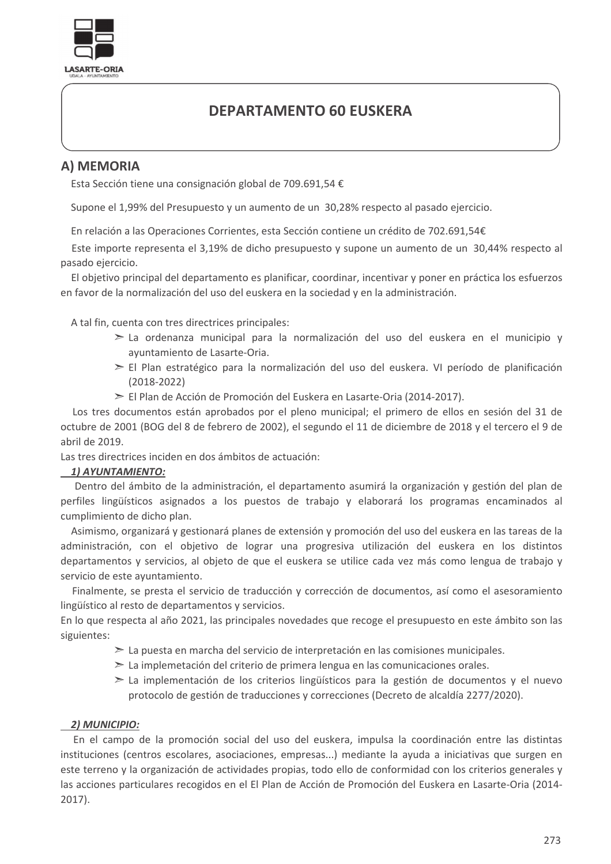

#### A) MEMORIA

Esta Sección tiene una consignación global de 709.691,54 €

Supone el 1,99% del Presupuesto y un aumento de un 30,28% respecto al pasado ejercicio.

En relación a las Operaciones Corrientes, esta Sección contiene un crédito de 702.691.54€

Este importe representa el 3,19% de dicho presupuesto y supone un aumento de un 30,44% respecto al pasado ejercicio.

El objetivo principal del departamento es planificar, coordinar, incentivar y poner en práctica los esfuerzos en favor de la normalización del uso del euskera en la sociedad y en la administración.

A tal fin, cuenta con tres directrices principales:

- $\ge$  La ordenanza municipal para la normalización del uso del euskera en el municipio y ayuntamiento de Lasarte-Oria.
- > El Plan estratégico para la normalización del uso del euskera. VI período de planificación  $(2018 - 2022)$
- > El Plan de Acción de Promoción del Euskera en Lasarte-Oria (2014-2017).

Los tres documentos están aprobados por el pleno municipal: el primero de ellos en sesión del 31 de octubre de 2001 (BOG del 8 de febrero de 2002), el segundo el 11 de diciembre de 2018 y el tercero el 9 de abril de 2019.

Las tres directrices inciden en dos ámbitos de actuación:

#### 1) AYUNTAMIENTO:

Dentro del ámbito de la administración, el departamento asumirá la organización y gestión del plan de perfiles lingüísticos asignados a los puestos de trabajo y elaborará los programas encaminados al cumplimiento de dicho plan.

Asimismo, organizará y gestionará planes de extensión y promoción del uso del euskera en las tareas de la administración, con el objetivo de lograr una progresiva utilización del euskera en los distintos departamentos y servicios, al objeto de que el euskera se utilice cada vez más como lengua de trabajo y servicio de este avuntamiento.

Finalmente, se presta el servicio de traducción y corrección de documentos, así como el asesoramiento lingüístico al resto de departamentos y servicios.

En lo que respecta al año 2021, las principales novedades que recoge el presupuesto en este ámbito son las siguientes:

- $\geq$  La puesta en marcha del servicio de interpretación en las comisiones municipales.
- $\geq$  La implemetación del criterio de primera lengua en las comunicaciones orales.
- $\geq$  La implementación de los criterios lingüísticos para la gestión de documentos y el nuevo protocolo de gestión de traducciones y correcciones (Decreto de alcaldía 2277/2020).

#### 2) MUNICIPIO:

En el campo de la promoción social del uso del euskera, impulsa la coordinación entre las distintas instituciones (centros escolares, asociaciones, empresas...) mediante la ayuda a iniciativas que surgen en este terreno y la organización de actividades propias, todo ello de conformidad con los criterios generales y las acciones particulares recogidos en el El Plan de Acción de Promoción del Euskera en Lasarte-Oria (2014- $2017$ ).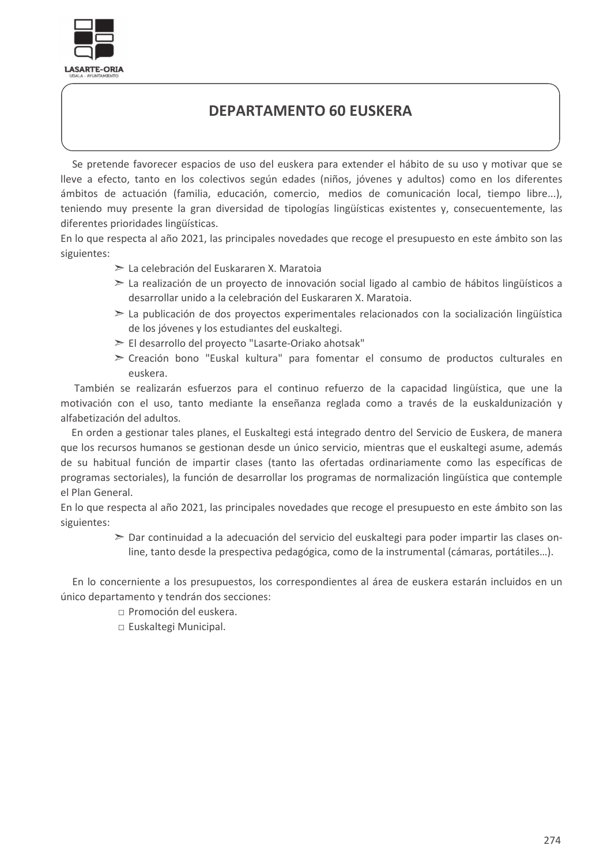

Se pretende favorecer espacios de uso del euskera para extender el hábito de su uso y motivar que se lleve a efecto, tanto en los colectivos según edades (niños, jóvenes y adultos) como en los diferentes ámbitos de actuación (familia, educación, comercio, medios de comunicación local, tiempo libre...), teniendo muy presente la gran diversidad de tipologías lingüísticas existentes y, consecuentemente, las diferentes prioridades lingüísticas.

En lo que respecta al año 2021, las principales novedades que recoge el presupuesto en este ámbito son las siguientes:

- > La celebración del Euskararen X. Maratoja
- > La realización de un proyecto de innovación social ligado al cambio de hábitos lingüísticos a desarrollar unido a la celebración del Euskararen X. Maratoia.
- $\geq$  La publicación de dos proyectos experimentales relacionados con la socialización lingüística de los jóvenes y los estudiantes del euskaltegi.
- > El desarrollo del provecto "Lasarte-Oriako ahotsak"
- > Creación bono "Euskal kultura" para fomentar el consumo de productos culturales en euskera.

También se realizarán esfuerzos para el continuo refuerzo de la capacidad lingüística, que une la motivación con el uso, tanto mediante la enseñanza reglada como a través de la euskaldunización y alfabetización del adultos.

En orden a gestionar tales planes, el Euskaltegi está integrado dentro del Servicio de Euskera, de manera que los recursos humanos se gestionan desde un único servicio, mientras que el euskaltegi asume, además de su habitual función de impartir clases (tanto las ofertadas ordinariamente como las específicas de programas sectoriales), la función de desarrollar los programas de normalización lingüística que contemple el Plan General.

En lo que respecta al año 2021, las principales novedades que recoge el presupuesto en este ámbito son las siguientes:

> $\geq$  Dar continuidad a la adecuación del servicio del euskaltegi para poder impartir las clases online, tanto desde la prespectiva pedagógica, como de la instrumental (cámaras, portátiles...).

En lo concerniente a los presupuestos, los correspondientes al área de euskera estarán incluidos en un único departamento y tendrán dos secciones:

- □ Promoción del euskera.
- □ Euskaltegi Municipal.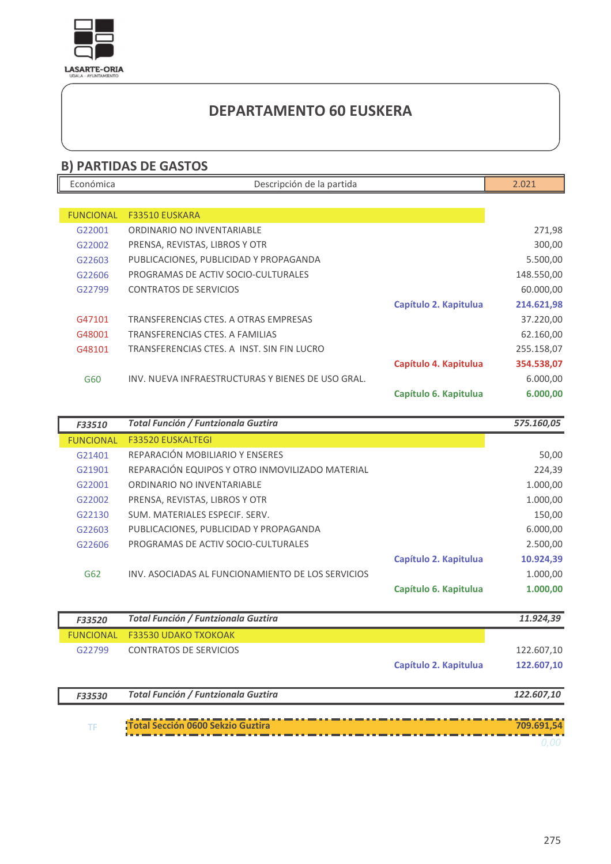

|                  | <b>B) PARTIDAS DE GASTOS</b>                      |                       |            |
|------------------|---------------------------------------------------|-----------------------|------------|
| Económica        | Descripción de la partida                         |                       | 2.021      |
|                  |                                                   |                       |            |
| <b>FUNCIONAL</b> | <b>F33510 EUSKARA</b>                             |                       |            |
| G22001           | ORDINARIO NO INVENTARIABLE                        |                       | 271,98     |
| G22002           | PRENSA, REVISTAS, LIBROS Y OTR                    |                       | 300,00     |
| G22603           | PUBLICACIONES, PUBLICIDAD Y PROPAGANDA            |                       | 5.500,00   |
| G22606           | PROGRAMAS DE ACTIV SOCIO-CULTURALES               |                       | 148.550,00 |
| G22799           | <b>CONTRATOS DE SERVICIOS</b>                     |                       | 60.000,00  |
|                  |                                                   | Capítulo 2. Kapitulua | 214.621,98 |
| G47101           | TRANSFERENCIAS CTES. A OTRAS EMPRESAS             |                       | 37.220,00  |
| G48001           | TRANSFERENCIAS CTES. A FAMILIAS                   |                       | 62.160,00  |
| G48101           | TRANSFERENCIAS CTES. A INST. SIN FIN LUCRO        |                       | 255.158,07 |
|                  |                                                   | Capítulo 4. Kapitulua | 354.538,07 |
| G60              | INV. NUEVA INFRAESTRUCTURAS Y BIENES DE USO GRAL. |                       | 6.000,00   |
|                  |                                                   | Capítulo 6. Kapitulua | 6.000,00   |
|                  |                                                   |                       |            |
| F33510           | <b>Total Función / Funtzionala Guztira</b>        |                       | 575.160,05 |
| <b>FUNCIONAL</b> | <b>F33520 EUSKALTEGI</b>                          |                       |            |
| G21401           | REPARACIÓN MOBILIARIO Y ENSERES                   |                       | 50,00      |
| G21901           | REPARACIÓN EQUIPOS Y OTRO INMOVILIZADO MATERIAL   |                       | 224,39     |
| G22001           | ORDINARIO NO INVENTARIABLE                        |                       | 1.000,00   |
| G22002           | PRENSA, REVISTAS, LIBROS Y OTR                    |                       | 1.000,00   |
| G22130           | SUM. MATERIALES ESPECIF. SERV.                    |                       | 150,00     |
| G22603           | PUBLICACIONES, PUBLICIDAD Y PROPAGANDA            |                       | 6.000,00   |
| G22606           | PROGRAMAS DE ACTIV SOCIO-CULTURALES               |                       | 2.500,00   |

| G62              | INV. ASOCIADAS AL FUNCIONAMIENTO DE LOS SERVICIOS |                       | 1.000,00   |
|------------------|---------------------------------------------------|-----------------------|------------|
|                  |                                                   | Capítulo 6. Kapitulua | 1.000,00   |
| F33520           | <b>Total Función / Funtzionala Guztira</b>        |                       | 11.924,39  |
| <b>FUNCIONAL</b> | <b>F33530 UDAKO TXOKOAK</b>                       |                       |            |
| G22799           | <b>CONTRATOS DE SERVICIOS</b>                     |                       | 122.607,10 |
|                  |                                                   | Capítulo 2. Kapitulua | 122.607,10 |
| F33530           | <b>Total Función / Funtzionala Guztira</b>        |                       | 122.607,10 |
|                  |                                                   |                       |            |
| TF               | Total Sección 0600 Sekzio Guztira                 |                       | 709.691.54 |
|                  |                                                   |                       | 0.00       |

Capítulo 2. Kapitulua

10.924,39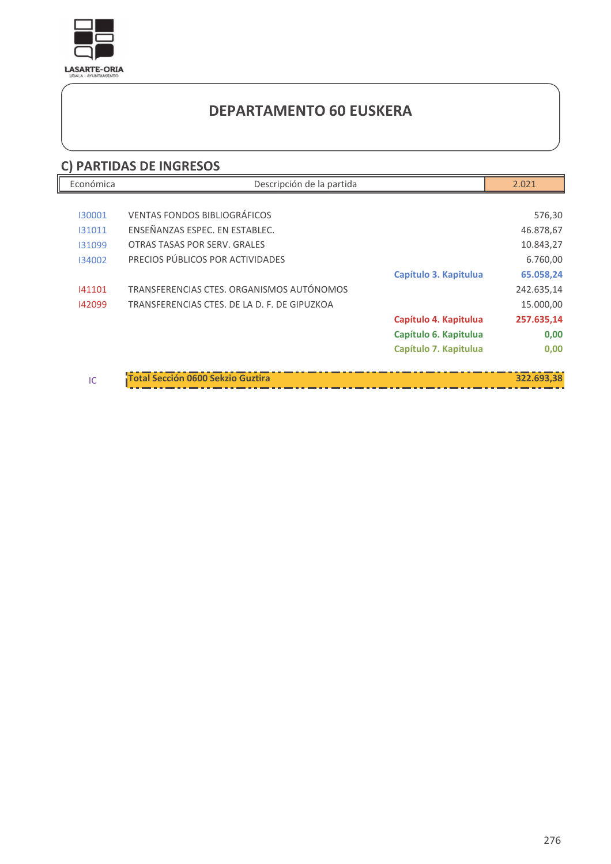

# C) PARTIDAS DE INGRESOS Ľ

| Económica | Descripción de la partida                    |                       | 2.021      |
|-----------|----------------------------------------------|-----------------------|------------|
|           |                                              |                       |            |
| 130001    | <b>VENTAS FONDOS BIBLIOGRÁFICOS</b>          |                       | 576,30     |
| 131011    | ENSEÑANZAS ESPEC. EN ESTABLEC.               |                       | 46.878,67  |
| 131099    | OTRAS TASAS POR SERV. GRALES                 |                       | 10.843,27  |
| 134002    | PRECIOS PÚBLICOS POR ACTIVIDADES             |                       | 6.760,00   |
|           |                                              | Capítulo 3. Kapitulua | 65.058,24  |
| 141101    | TRANSFERENCIAS CTES. ORGANISMOS AUTÓNOMOS    |                       | 242.635,14 |
| 142099    | TRANSFERENCIAS CTES. DE LA D. F. DE GIPUZKOA |                       | 15.000,00  |
|           |                                              | Capítulo 4. Kapitulua | 257.635,14 |
|           |                                              | Capítulo 6. Kapitulua | 0,00       |
|           |                                              | Capítulo 7. Kapitulua | 0,00       |
|           |                                              |                       |            |
| IC        | Total Sección 0600 Sekzio Guztira            |                       | 322.693,38 |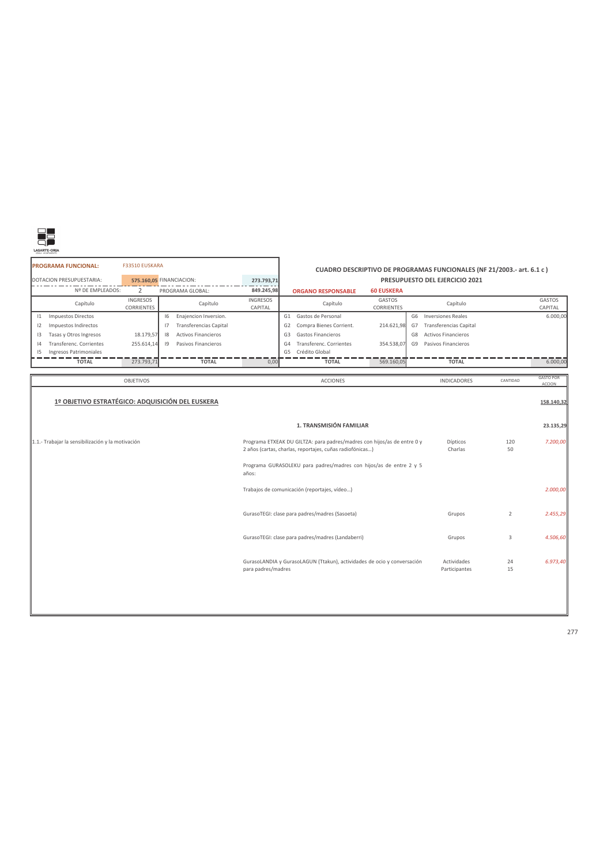

|    | <b>PROGRAMA FUNCIONAL:</b> | F33510 EUSKARA                |    |                            |                            |                |                           |                             |                | CUADRO DESCRIPTIVO DE PROGRAMAS FUNCIONALES (NF 21/2003.- art. 6.1 c) |                          |
|----|----------------------------|-------------------------------|----|----------------------------|----------------------------|----------------|---------------------------|-----------------------------|----------------|-----------------------------------------------------------------------|--------------------------|
|    | DOTACION PRESUPUESTARIA:   | 575.160.05 FINANCIACION:      |    |                            | 273.793.71                 |                |                           |                             |                | <b>PRESUPUESTO DEL EJERCICIO 2021</b>                                 |                          |
|    | Nº DE EMPLEADOS:           |                               |    | PROGRAMA GLOBAL:           | 849.245,98                 |                | <b>ORGANO RESPONSABLE</b> | <b>60 EUSKERA</b>           |                |                                                                       |                          |
|    | Capítulo                   | <b>INGRESOS</b><br>CORRIENTES |    | Capítulo                   | <b>INGRESOS</b><br>CAPITAL |                | Capítulo                  | GASTOS<br><b>CORRIENTES</b> |                | Capítulo                                                              | <b>GASTOS</b><br>CAPITAL |
|    | Impuestos Directos         |                               | 16 | Enajencion Inversion.      |                            | G <sub>1</sub> | Gastos de Personal        |                             | G <sub>6</sub> | Inversiones Reales                                                    | 6.000.00                 |
|    | Impuestos Indirectos       |                               | 17 | Transferencias Capital     |                            | G <sub>2</sub> | Compra Bienes Corrient.   | 214.621.98                  | G7             | <b>Transferencias Capital</b>                                         |                          |
| 13 | Tasas y Otros Ingresos     | 18.179,57                     | 18 | <b>Activos Financieros</b> |                            | G <sub>3</sub> | Gastos Financieros        |                             | G8             | Activos Financieros                                                   |                          |
| 4  | Transferenc, Corrientes    | 255.614,14                    | 9  | Pasivos Financieros        |                            | G <sub>4</sub> | Transferenc, Corrientes   | 354.538.07                  | G <sup>9</sup> | Pasivos Financieros                                                   |                          |
| 15 | Ingresos Patrimoniales     |                               |    |                            |                            | G <sub>5</sub> | Crédito Global            |                             |                |                                                                       |                          |
|    | <b>TOTAL</b>               | 273.793.71                    |    | <b>TOTAL</b>               | 0.00                       |                | <b>TOTAL</b>              | 569,160.05                  |                | <b>TOTAL</b>                                                          | 6.000.00                 |

| <b>OBJETIVOS</b>                                  | ACCIONES                                                                                                                            | <b>INDICADORES</b>           | CANTIDAD       | <b>GASTO POR</b><br>ACCION |
|---------------------------------------------------|-------------------------------------------------------------------------------------------------------------------------------------|------------------------------|----------------|----------------------------|
| 1º OBJETIVO ESTRATÉGICO: ADQUISICIÓN DEL EUSKERA  |                                                                                                                                     |                              |                | 158.140,32                 |
|                                                   | 1. TRANSMISIÓN FAMILIAR                                                                                                             |                              |                | 23.135,29                  |
| 1.1.- Trabajar la sensibilización y la motivación | Programa ETXEAK DU GILTZA: para padres/madres con hijos/as de entre 0 y<br>2 años (cartas, charlas, reportajes, cuñas radiofónicas) | Dípticos<br>Charlas          | 120<br>50      | 7.200,00                   |
|                                                   | Programa GURASOLEKU para padres/madres con hijos/as de entre 2 y 5<br>años:                                                         |                              |                |                            |
|                                                   | Trabajos de comunicación (reportajes, vídeo)                                                                                        |                              |                | 2.000,00                   |
|                                                   | GurasoTEGI: clase para padres/madres (Sasoeta)                                                                                      | Grupos                       | $\overline{2}$ | 2.455,29                   |
|                                                   | GurasoTEGI: clase para padres/madres (Landaberri)                                                                                   | Grupos                       | 3              | 4.506,60                   |
|                                                   | GurasoLANDIA y GurasoLAGUN (Ttakun), actividades de ocio y conversación<br>para padres/madres                                       | Actividades<br>Participantes | 24<br>15       | 6.973,40                   |
|                                                   |                                                                                                                                     |                              |                |                            |
|                                                   |                                                                                                                                     |                              |                |                            |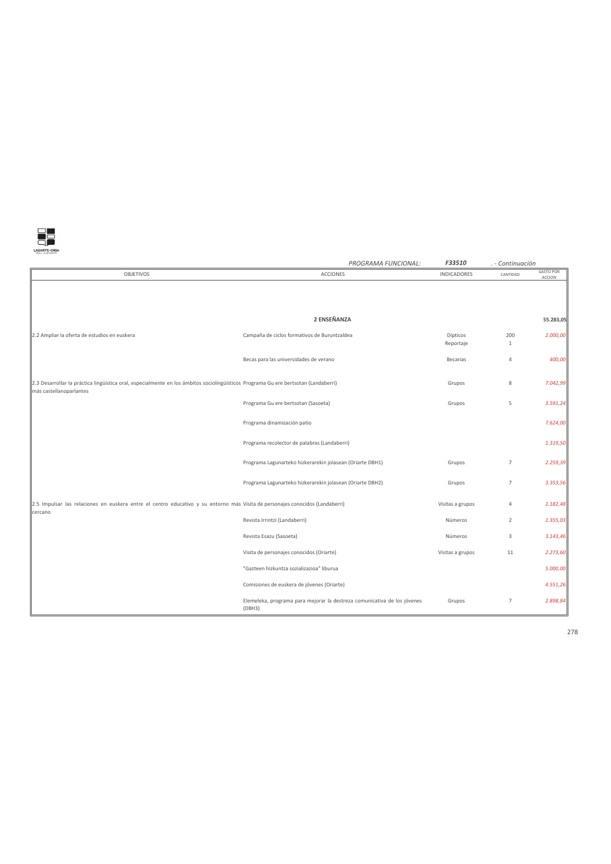

|                                                                                                                                                                 | PROGRAMA FUNCIONAL:                                                                | F33510                | . - Continuación |                            |
|-----------------------------------------------------------------------------------------------------------------------------------------------------------------|------------------------------------------------------------------------------------|-----------------------|------------------|----------------------------|
| <b>OBJETIVOS</b>                                                                                                                                                | <b>ACCIONES</b>                                                                    | <b>INDICADORES</b>    | CANTIDAD         | <b>GASTO POR</b><br>ACCION |
|                                                                                                                                                                 |                                                                                    |                       |                  |                            |
|                                                                                                                                                                 | 2 ENSEÑANZA                                                                        |                       |                  | 55.283,05                  |
| 2.2 Ampliar la oferta de estudios en euskera                                                                                                                    | Campaña de ciclos formativos de Buruntzaldea                                       | Dípticos<br>Reportaje | 200<br>$1\,$     | 2.000,00                   |
|                                                                                                                                                                 | Becas para las universidades de verano                                             | Becarias              | $\overline{4}$   | 400,00                     |
| [2.3 Desarrollar la práctica lingüística oral, especialmente en los ámbitos sociolingüísticos Programa Gu ere bertsotan (Landaberri)<br>más castellanoparlantes |                                                                                    | Grupos                | 8                | 7.042,99                   |
|                                                                                                                                                                 | Programa Gu ere bertsotan (Sasoeta)                                                | Grupos                | 5                | 3.591,24                   |
|                                                                                                                                                                 | Programa dinamización patio                                                        |                       |                  | 7.624,00                   |
|                                                                                                                                                                 | Programa recolector de palabras (Landaberri)                                       |                       |                  | 1.319,50                   |
|                                                                                                                                                                 | Programa Lagunarteko hizkerarekin jolasean (Oriarte DBH1)                          | Grupos                | $\overline{7}$   | 2.259,39                   |
|                                                                                                                                                                 | Programa Lagunarteko hizkerarekin jolasean (Oriarte DBH2)                          | Grupos                | $\overline{7}$   | 3.353,56                   |
| [2.5 Impulsar las relaciones en euskera entre el centro educativo y su entorno más Visita de personajes conocidos (Landaberri)<br>cercano                       |                                                                                    | Visitas a grupos      | $\overline{4}$   | 1.182,48                   |
|                                                                                                                                                                 | Revista Irrintzi (Landaberri)                                                      | Números               | $\overline{2}$   | 1.355,03                   |
|                                                                                                                                                                 | Revista Esazu (Sasoeta)                                                            | Números               | 3                | 3.143,46                   |
|                                                                                                                                                                 | Visita de personajes conocidos (Oriarte)                                           | Visitas a grupos      | 11               | 2.273,60                   |
|                                                                                                                                                                 | "Gazteen hizkuntza sozializazioa" liburua                                          |                       |                  | 5.000,00                   |
|                                                                                                                                                                 | Comisiones de euskera de jóvenes (Oriarte)                                         |                       |                  | 4.551,26                   |
|                                                                                                                                                                 | Elemeleka, programa para mejorar la destreza comunicativa de los jóvenes<br>(DBH3) | Grupos                | $\overline{7}$   | 2.898,84                   |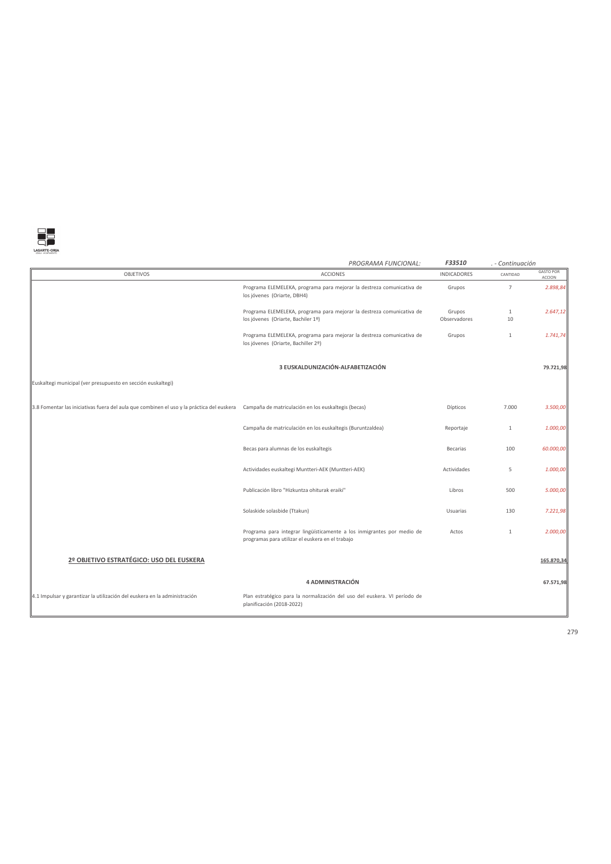

|                                                                                           | PROGRAMA FUNCIONAL:                                                                                                        | F33510             | . - Continuación |                                   |
|-------------------------------------------------------------------------------------------|----------------------------------------------------------------------------------------------------------------------------|--------------------|------------------|-----------------------------------|
| <b>OBJETIVOS</b>                                                                          | <b>ACCIONES</b>                                                                                                            | <b>INDICADORES</b> | CANTIDAD         | <b>GASTO POR</b><br><b>ACCION</b> |
|                                                                                           | Programa ELEMELEKA, programa para mejorar la destreza comunicativa de<br>los jóvenes (Oriarte, DBH4)                       | Grupos             | $\overline{7}$   | 2.898,84                          |
|                                                                                           | Programa ELEMELEKA, programa para mejorar la destreza comunicativa de                                                      | Grupos             | $\mathbf{1}$     | 2.647,12                          |
|                                                                                           | los jóvenes (Oriarte, Bachiler 1º)                                                                                         | Observadores       | 10               |                                   |
|                                                                                           | Programa ELEMELEKA, programa para mejorar la destreza comunicativa de<br>los jóvenes (Oriarte, Bachiller 2º)               | Grupos             | $\mathbf{1}$     | 1.741,74                          |
|                                                                                           | 3 EUSKALDUNIZACIÓN-ALFABETIZACIÓN                                                                                          |                    |                  | 79.721,98                         |
| Euskaltegi municipal (ver presupuesto en sección euskaltegi)                              |                                                                                                                            |                    |                  |                                   |
| 3.8 Fomentar las iniciativas fuera del aula que combinen el uso y la práctica del euskera | Campaña de matriculación en los euskaltegis (becas)                                                                        | Dípticos           | 7.000            | 3.500,00                          |
|                                                                                           | Campaña de matriculación en los euskaltegis (Buruntzaldea)                                                                 | Reportaje          | $\mathbf{1}$     | 1.000,00                          |
|                                                                                           | Becas para alumnas de los euskaltegis                                                                                      | Becarias           | 100              | 60.000,00                         |
|                                                                                           | Actividades euskaltegi Muntteri-AEK (Muntteri-AEK)                                                                         | Actividades        | 5                | 1.000,00                          |
|                                                                                           | Publicación libro "Hizkuntza ohiturak eraiki"                                                                              | Libros             | 500              | 5.000,00                          |
|                                                                                           | Solaskide solasbide (Ttakun)                                                                                               | Usuarias           | 130              | 7.221,98                          |
|                                                                                           | Programa para integrar lingüísticamente a los inmigrantes por medio de<br>programas para utilizar el euskera en el trabajo | Actos              | $\mathbf{1}$     | 2.000,00                          |
| 2º OBJETIVO ESTRATÉGICO: USO DEL EUSKERA                                                  |                                                                                                                            |                    |                  | 165.870,34                        |
|                                                                                           | 4 ADMINISTRACIÓN                                                                                                           |                    |                  | 67.571,98                         |
| 4.1 Impulsar y garantizar la utilización del euskera en la administración                 | Plan estratégico para la normalización del uso del euskera. VI período de<br>planificación (2018-2022)                     |                    |                  |                                   |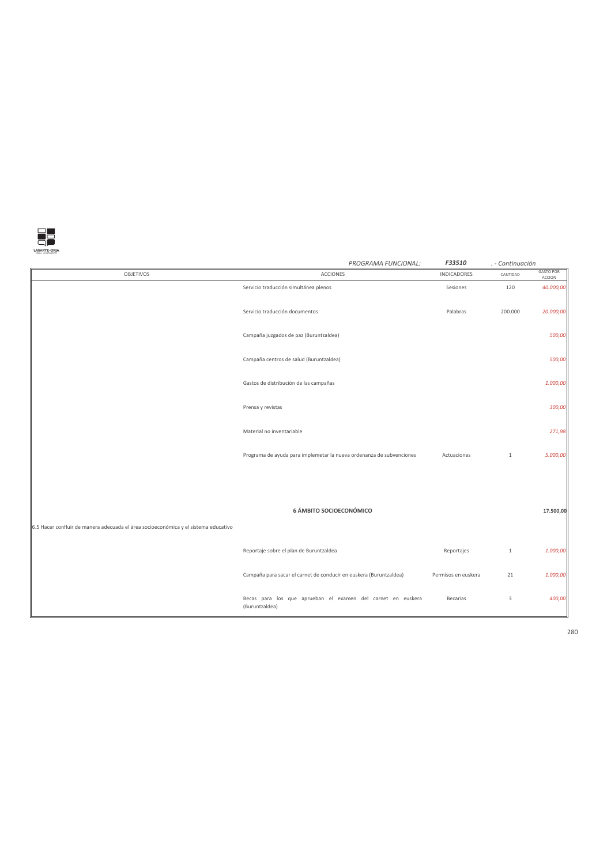

|                                                                                     | PROGRAMA FUNCIONAL:                                                           | F33510              | . - Continuación        |                                   |
|-------------------------------------------------------------------------------------|-------------------------------------------------------------------------------|---------------------|-------------------------|-----------------------------------|
| <b>OBJETIVOS</b>                                                                    | ACCIONES                                                                      | <b>INDICADORES</b>  | CANTIDAD                | <b>GASTO POR</b><br><b>ACCION</b> |
|                                                                                     | Servicio traducción simultánea plenos                                         | Sesiones            | 120                     | 40.000,00                         |
|                                                                                     | Servicio traducción documentos                                                | Palabras            | 200.000                 | 20.000,00                         |
|                                                                                     | Campaña juzgados de paz (Buruntzaldea)                                        |                     |                         | 500,00                            |
|                                                                                     | Campaña centros de salud (Buruntzaldea)                                       |                     |                         | 500,00                            |
|                                                                                     | Gastos de distribución de las campañas                                        |                     |                         | 1.000,00                          |
|                                                                                     | Prensa y revistas                                                             |                     |                         | 300,00                            |
|                                                                                     | Material no inventariable                                                     |                     |                         | 271,98                            |
|                                                                                     | Programa de ayuda para implemetar la nueva ordenanza de subvenciones          | Actuaciones         | $\mathbf{1}$            | 5.000,00                          |
| 6.5 Hacer confluir de manera adecuada el área socioeconómica y el sistema educativo | 6 ÁMBITO SOCIOECONÓMICO                                                       |                     |                         | 17.500,00                         |
|                                                                                     | Reportaje sobre el plan de Buruntzaldea                                       | Reportajes          | $\mathbf{1}$            | 1.000,00                          |
|                                                                                     | Campaña para sacar el carnet de conducir en euskera (Buruntzaldea)            | Permisos en euskera | 21                      | 1.000,00                          |
|                                                                                     | Becas para los que aprueban el examen del carnet en euskera<br>(Buruntzaldea) | Becarias            | $\overline{\mathbf{3}}$ | 400,00                            |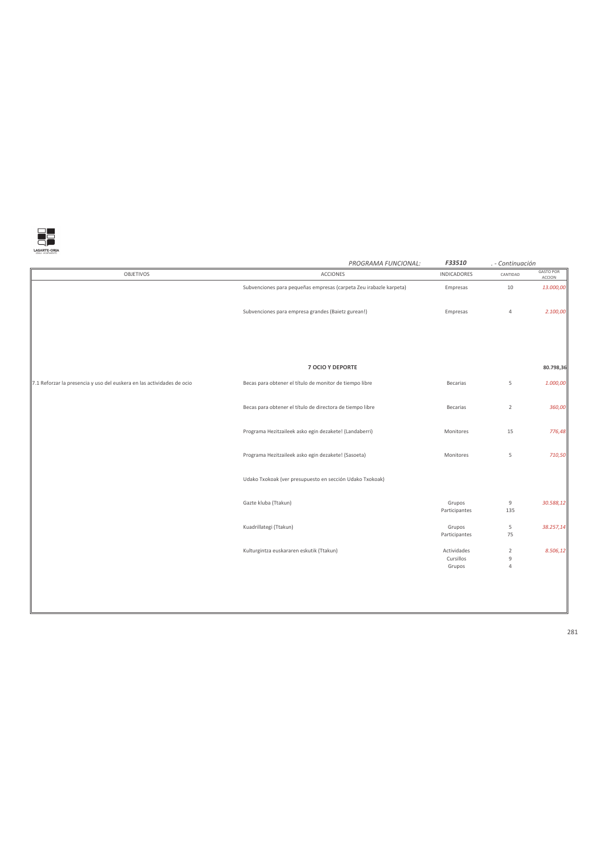

|                                                                        | PROGRAMA FUNCIONAL:                                                | F33510                  | . - Continuación    |                            |
|------------------------------------------------------------------------|--------------------------------------------------------------------|-------------------------|---------------------|----------------------------|
| <b>OBJETIVOS</b>                                                       | <b>ACCIONES</b>                                                    | <b>INDICADORES</b>      | CANTIDAD            | <b>GASTO POR</b><br>ACCION |
|                                                                        | Subvenciones para pequeñas empresas (carpeta Zeu irabazle karpeta) | Empresas                | 10                  | 13.000,00                  |
|                                                                        | Subvenciones para empresa grandes (Baietz gurean!)                 | Empresas                | $\overline{4}$      | 2.100,00                   |
|                                                                        | 7 OCIO Y DEPORTE                                                   |                         |                     | 80.798,36                  |
|                                                                        |                                                                    |                         |                     |                            |
| 7.1 Reforzar la presencia y uso del euskera en las actividades de ocio | Becas para obtener el título de monitor de tiempo libre            | Becarias                | 5                   | 1.000,00                   |
|                                                                        | Becas para obtener el título de directora de tiempo libre          | Becarias                | $\overline{2}$      | 360,00                     |
|                                                                        | Programa Hezitzaileek asko egin dezakete! (Landaberri)             | Monitores               | 15                  | 776,48                     |
|                                                                        | Programa Hezitzaileek asko egin dezakete! (Sasoeta)                | Monitores               | 5                   | 710,50                     |
|                                                                        | Udako Txokoak (ver presupuesto en sección Udako Txokoak)           |                         |                     |                            |
|                                                                        | Gazte kluba (Ttakun)                                               | Grupos<br>Participantes | $\mathsf g$<br>135  | 30.588,12                  |
|                                                                        | Kuadrillategi (Ttakun)                                             | Grupos<br>Participantes | 5<br>75             | 38.257,14                  |
|                                                                        | Kulturgintza euskararen eskutik (Ttakun)                           | Actividades             | $\overline{2}$      | 8.506,12                   |
|                                                                        |                                                                    | Cursillos<br>Grupos     | 9<br>$\overline{4}$ |                            |
|                                                                        |                                                                    |                         |                     |                            |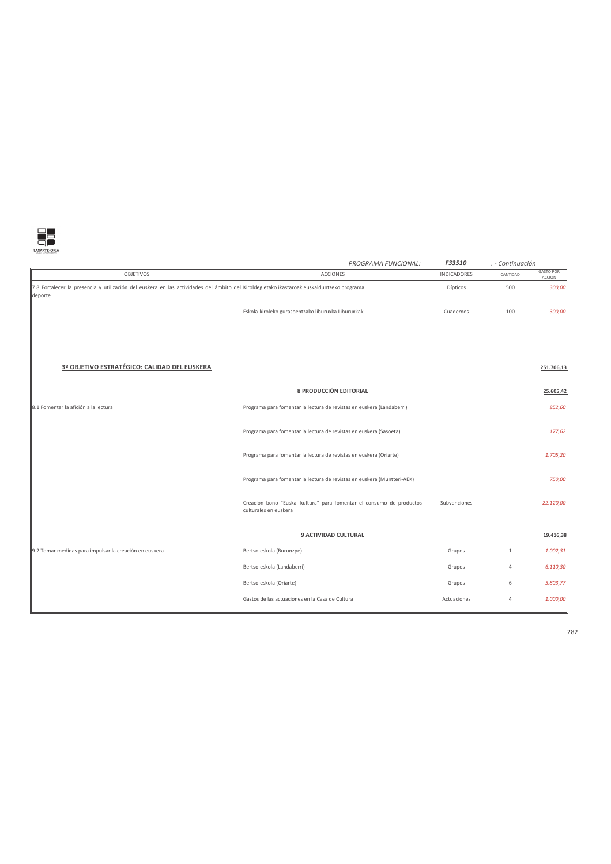

|                                                                                                                                                      | PROGRAMA FUNCIONAL:                                                                           | F33510             | . - Continuación |                                   |
|------------------------------------------------------------------------------------------------------------------------------------------------------|-----------------------------------------------------------------------------------------------|--------------------|------------------|-----------------------------------|
| <b>OBJETIVOS</b>                                                                                                                                     | <b>ACCIONES</b>                                                                               | <b>INDICADORES</b> | CANTIDAD         | <b>GASTO POR</b><br><b>ACCION</b> |
| 7.8 Fortalecer la presencia y utilización del euskera en las actividades del ámbito del Kiroldegietako ikastaroak euskalduntzeko programa<br>deporte |                                                                                               | Dípticos           | 500              | 300,00                            |
|                                                                                                                                                      | Eskola-kiroleko gurasoentzako liburuxka Liburuxkak                                            | Cuadernos          | 100              | 300,00                            |
|                                                                                                                                                      |                                                                                               |                    |                  |                                   |
| 3º OBJETIVO ESTRATÉGICO: CALIDAD DEL EUSKERA                                                                                                         |                                                                                               |                    |                  | 251.706,13                        |
|                                                                                                                                                      |                                                                                               |                    |                  |                                   |
|                                                                                                                                                      | 8 PRODUCCIÓN EDITORIAL                                                                        |                    |                  | 25.605,42                         |
| 8.1 Fomentar la afición a la lectura                                                                                                                 | Programa para fomentar la lectura de revistas en euskera (Landaberri)                         |                    |                  | 852,60                            |
|                                                                                                                                                      | Programa para fomentar la lectura de revistas en euskera (Sasoeta)                            |                    |                  | 177,62                            |
|                                                                                                                                                      | Programa para fomentar la lectura de revistas en euskera (Oriarte)                            |                    |                  | 1.705,20                          |
|                                                                                                                                                      | Programa para fomentar la lectura de revistas en euskera (Muntteri-AEK)                       |                    |                  | 750,00                            |
|                                                                                                                                                      | Creación bono "Euskal kultura" para fomentar el consumo de productos<br>culturales en euskera | Subvenciones       |                  | 22.120,00                         |
|                                                                                                                                                      | 9 ACTIVIDAD CULTURAL                                                                          |                    |                  | 19.416,38                         |
| 9.2 Tomar medidas para impulsar la creación en euskera                                                                                               | Bertso-eskola (Burunzpe)                                                                      | Grupos             | $\mathbf{1}$     | 1.002,31                          |
|                                                                                                                                                      | Bertso-eskola (Landaberri)                                                                    | Grupos             | $\overline{4}$   | 6.110,30                          |
|                                                                                                                                                      | Bertso-eskola (Oriarte)                                                                       | Grupos             | 6                | 5.803,77                          |
|                                                                                                                                                      | Gastos de las actuaciones en la Casa de Cultura                                               | Actuaciones        | $\overline{4}$   | 1.000,00                          |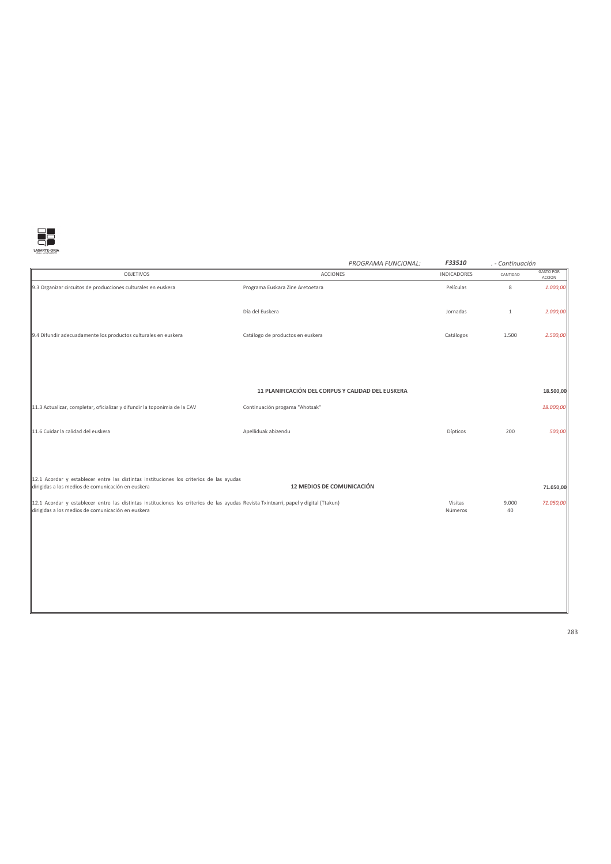

|                                                                                                                                                                                           | PROGRAMA FUNCIONAL:                               | <b>F33510</b>      | . - Continuación |                                   |
|-------------------------------------------------------------------------------------------------------------------------------------------------------------------------------------------|---------------------------------------------------|--------------------|------------------|-----------------------------------|
| <b>OBJETIVOS</b>                                                                                                                                                                          | ACCIONES                                          | <b>INDICADORES</b> | CANTIDAD         | <b>GASTO POR</b><br><b>ACCION</b> |
| 9.3 Organizar circuitos de producciones culturales en euskera                                                                                                                             | Programa Euskara Zine Aretoetara                  | Películas          | 8                | 1.000,00                          |
|                                                                                                                                                                                           | Día del Euskera                                   | Jornadas           | $\mathbf{1}$     | 2.000,00                          |
| 9.4 Difundir adecuadamente los productos culturales en euskera                                                                                                                            | Catálogo de productos en euskera                  | Catálogos          | 1.500            | 2.500,00                          |
|                                                                                                                                                                                           |                                                   |                    |                  |                                   |
|                                                                                                                                                                                           | 11 PLANIFICACIÓN DEL CORPUS Y CALIDAD DEL EUSKERA |                    |                  | 18.500,00                         |
| 11.3 Actualizar, completar, oficializar y difundir la toponimia de la CAV                                                                                                                 | Continuación progama "Ahotsak"                    |                    |                  | 18.000,00                         |
| 11.6 Cuidar la calidad del euskera                                                                                                                                                        | Apelliduak abizendu                               | Dípticos           | 200              | 500,00                            |
|                                                                                                                                                                                           |                                                   |                    |                  |                                   |
| 12.1 Acordar y establecer entre las distintas instituciones los criterios de las ayudas                                                                                                   |                                                   |                    |                  |                                   |
| dirigidas a los medios de comunicación en euskera                                                                                                                                         | 12 MEDIOS DE COMUNICACIÓN                         |                    |                  | 71.050,00                         |
| 12.1 Acordar y establecer entre las distintas instituciones los criterios de las ayudas Revista Txintxarri, papel y digital (Ttakun)<br>dirigidas a los medios de comunicación en euskera |                                                   | Visitas<br>Números | 9.000<br>40      | 71.050,00                         |
|                                                                                                                                                                                           |                                                   |                    |                  |                                   |
|                                                                                                                                                                                           |                                                   |                    |                  |                                   |
|                                                                                                                                                                                           |                                                   |                    |                  |                                   |
|                                                                                                                                                                                           |                                                   |                    |                  |                                   |
|                                                                                                                                                                                           |                                                   |                    |                  |                                   |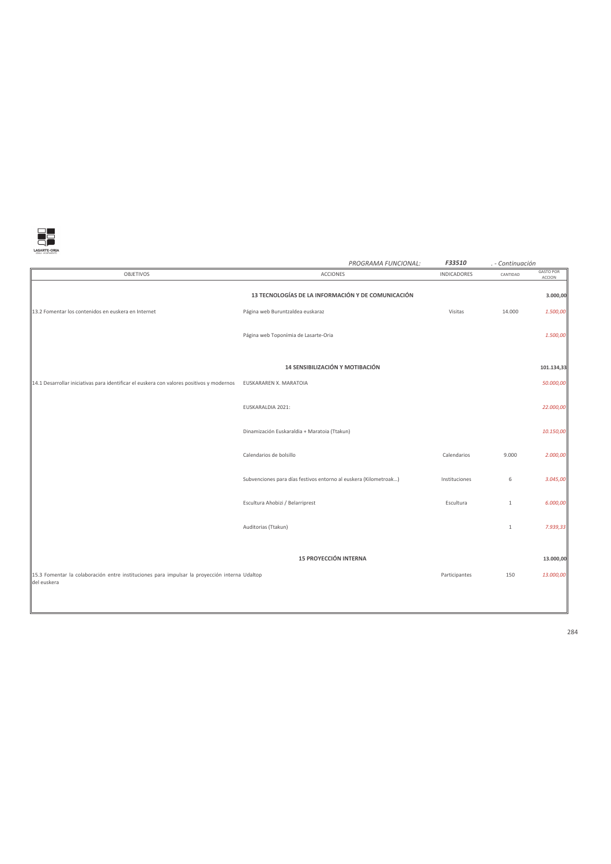

|                                                                                                              | PROGRAMA FUNCIONAL:                                              | F33510             | . - Continuación |                                   |
|--------------------------------------------------------------------------------------------------------------|------------------------------------------------------------------|--------------------|------------------|-----------------------------------|
| OBJETIVOS                                                                                                    | <b>ACCIONES</b>                                                  | <b>INDICADORES</b> | CANTIDAD         | <b>GASTO POR</b><br><b>ACCION</b> |
|                                                                                                              | 13 TECNOLOGÍAS DE LA INFORMACIÓN Y DE COMUNICACIÓN               |                    |                  | 3.000,00                          |
| 13.2 Fomentar los contenidos en euskera en Internet                                                          | Página web Buruntzaldea euskaraz                                 | Visitas            | 14.000           | 1.500,00                          |
|                                                                                                              | Página web Toponímia de Lasarte-Oria                             |                    |                  | 1.500,00                          |
|                                                                                                              | 14 SENSIBILIZACIÓN Y MOTIBACIÓN                                  |                    |                  | 101.134,33                        |
| 14.1 Desarrollar iniciativas para identificar el euskera con valores positivos y modernos                    | EUSKARAREN X. MARATOIA                                           |                    |                  | 50.000,00                         |
|                                                                                                              | EUSKARALDIA 2021:                                                |                    |                  | 22.000,00                         |
|                                                                                                              | Dinamización Euskaraldia + Maratoia (Ttakun)                     |                    |                  | 10.150,00                         |
|                                                                                                              | Calendarios de bolsillo                                          | Calendarios        | 9.000            | 2.000,00                          |
|                                                                                                              | Subvenciones para días festivos entorno al euskera (Kilometroak) | Instituciones      | 6                | 3.045,00                          |
|                                                                                                              | Escultura Ahobizi / Belarriprest                                 | Escultura          | $1\,$            | 6.000,00                          |
|                                                                                                              | Auditorias (Ttakun)                                              |                    | $1\,$            | 7.939,33                          |
|                                                                                                              |                                                                  |                    |                  |                                   |
|                                                                                                              | <b>15 PROYECCIÓN INTERNA</b>                                     |                    |                  | 13.000,00                         |
| 15.3 Fomentar la colaboración entre instituciones para impulsar la proyección interna Udaltop<br>del euskera |                                                                  | Participantes      | 150              | 13.000,00                         |
|                                                                                                              |                                                                  |                    |                  |                                   |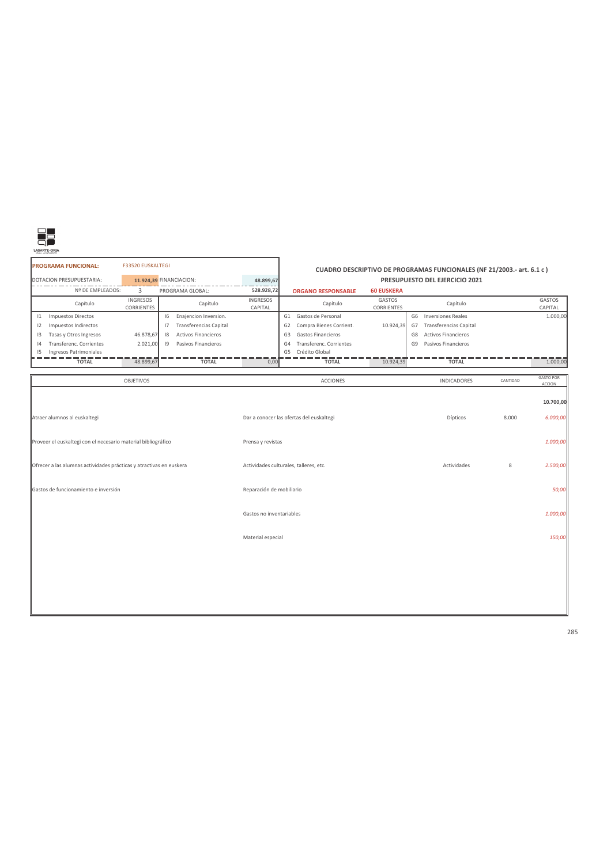

| <b>F33520 EUSKALTEGI</b><br><b>PROGRAMA FUNCIONAL:</b> |                               |             |                               | CUADRO DESCRIPTIVO DE PROGRAMAS FUNCIONALES (NF 21/2003.- art. 6.1 c) |                |                           |                             |                |                                       |  |                          |
|--------------------------------------------------------|-------------------------------|-------------|-------------------------------|-----------------------------------------------------------------------|----------------|---------------------------|-----------------------------|----------------|---------------------------------------|--|--------------------------|
| DOTACION PRESUPUESTARIA:                               |                               |             | 11.924.39 FINANCIACION:       | 48.899,67                                                             |                |                           |                             |                | <b>PRESUPUESTO DEL EJERCICIO 2021</b> |  |                          |
| Nº DE EMPLEADOS:                                       |                               |             | PROGRAMA GLOBAL:              | 528.928.72                                                            |                | <b>ORGANO RESPONSABLE</b> | <b>60 EUSKERA</b>           |                |                                       |  |                          |
| Capítulo                                               | <b>INGRESOS</b><br>CORRIENTES |             | Capítulo                      | <b>INGRESOS</b><br>CAPITAL                                            |                | Capítulo                  | GASTOS<br><b>CORRIENTES</b> |                | Capítulo                              |  | <b>GASTOS</b><br>CAPITAL |
| Impuestos Directos<br>$\mathbf{11}$                    |                               | 16          | Enajencion Inversion.         |                                                                       | G1             | Gastos de Personal        |                             | G <sub>6</sub> | <b>Inversiones Reales</b>             |  | 1.000.00                 |
| Impuestos Indirectos                                   |                               | 17          | <b>Transferencias Capital</b> |                                                                       | G <sub>2</sub> | Compra Bienes Corrient.   | 10.924,39                   | G7             | <b>Transferencias Capital</b>         |  |                          |
| Tasas y Otros Ingresos<br>13                           | 46.878.67                     | 18          | Activos Financieros           |                                                                       | G <sub>3</sub> | Gastos Financieros        |                             | G <sub>8</sub> | Activos Financieros                   |  |                          |
| Transferenc, Corrientes<br> 4                          | 2.021.00                      | $ 9\rangle$ | Pasivos Financieros           |                                                                       | G <sub>4</sub> | Transferenc, Corrientes   |                             | G <sup>9</sup> | Pasivos Financieros                   |  |                          |
| Ingresos Patrimoniales<br>15                           |                               |             |                               |                                                                       | G <sub>5</sub> | Crédito Global            |                             |                |                                       |  |                          |
| <b>TOTAL</b>                                           | 48.899.67                     |             | <b>TOTAL</b>                  | 0.00                                                                  |                | <b>TOTAL</b>              | 10.924.39                   |                | <b>TOTAL</b>                          |  | 1.000.00                 |

| <b>OBJETIVOS</b>                                                    | ACCIONES                                 | <b>INDICADORES</b> | CANTIDAD | <b>GASTO POR</b><br>ACCION |
|---------------------------------------------------------------------|------------------------------------------|--------------------|----------|----------------------------|
|                                                                     |                                          |                    |          | 10.700,00                  |
| Atraer alumnos al euskaltegi                                        | Dar a conocer las ofertas del euskaltegi | Dípticos           | 8.000    | 6.000,00                   |
| Proveer el euskaltegi con el necesario material bibliográfico       | Prensa y revistas                        |                    |          | 1.000,00                   |
| Ofrecer a las alumnas actividades prácticas y atractivas en euskera | Actividades culturales, talleres, etc.   | Actividades        | 8        | 2.500,00                   |
| Gastos de funcionamiento e inversión                                | Reparación de mobiliario                 |                    |          | 50,00                      |
|                                                                     | Gastos no inventariables                 |                    |          | 1.000,00                   |
|                                                                     | Material especial                        |                    |          | 150,00                     |
|                                                                     |                                          |                    |          |                            |
|                                                                     |                                          |                    |          |                            |
|                                                                     |                                          |                    |          |                            |